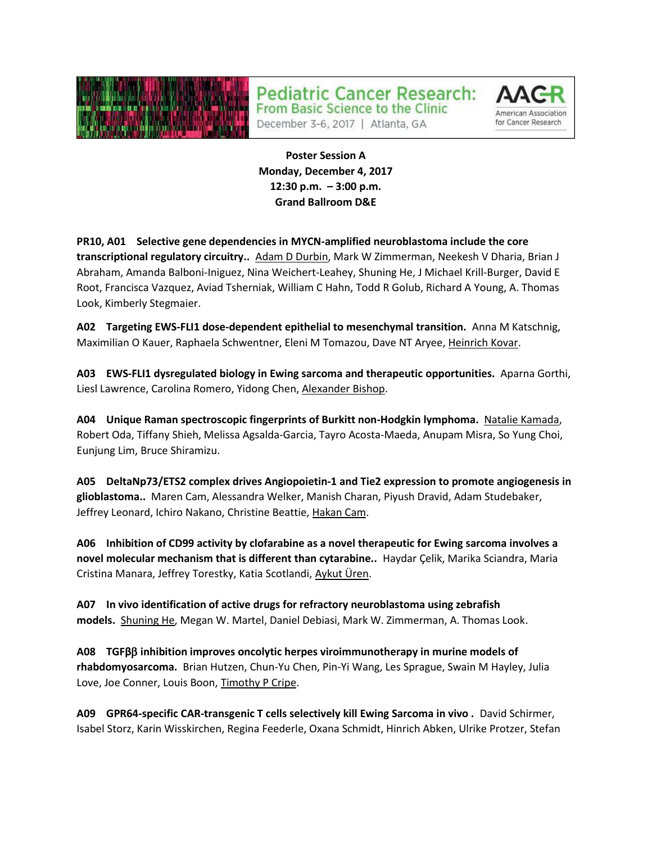

**Pediatric Cancer Research:** 



December 3-6, 2017 | Atlanta, GA

From Basic Science to the Clinic

**Poster Session A Monday, December 4, 2017 12:30 p.m. – 3:00 p.m. Grand Ballroom D&E**

**PR10, A01 Selective gene dependencies in MYCN-amplified neuroblastoma include the core transcriptional regulatory circuitry..** Adam D Durbin, Mark W Zimmerman, Neekesh V Dharia, Brian J Abraham, Amanda Balboni-Iniguez, Nina Weichert-Leahey, Shuning He, J Michael Krill-Burger, David E Root, Francisca Vazquez, Aviad Tsherniak, William C Hahn, Todd R Golub, Richard A Young, A. Thomas Look, Kimberly Stegmaier.

**A02 Targeting EWS-FLI1 dose-dependent epithelial to mesenchymal transition.** Anna M Katschnig, Maximilian O Kauer, Raphaela Schwentner, Eleni M Tomazou, Dave NT Aryee, Heinrich Kovar.

**A03 EWS-FLI1 dysregulated biology in Ewing sarcoma and therapeutic opportunities.** Aparna Gorthi, Liesl Lawrence, Carolina Romero, Yidong Chen, Alexander Bishop.

**A04 Unique Raman spectroscopic fingerprints of Burkitt non-Hodgkin lymphoma.** Natalie Kamada, Robert Oda, Tiffany Shieh, Melissa Agsalda-Garcia, Tayro Acosta-Maeda, Anupam Misra, So Yung Choi, Eunjung Lim, Bruce Shiramizu.

**A05 DeltaNp73/ETS2 complex drives Angiopoietin-1 and Tie2 expression to promote angiogenesis in glioblastoma..** Maren Cam, Alessandra Welker, Manish Charan, Piyush Dravid, Adam Studebaker, Jeffrey Leonard, Ichiro Nakano, Christine Beattie, Hakan Cam.

**A06 Inhibition of CD99 activity by clofarabine as a novel therapeutic for Ewing sarcoma involves a novel molecular mechanism that is different than cytarabine..** Haydar Çelik, Marika Sciandra, Maria Cristina Manara, Jeffrey Torestky, Katia Scotlandi, Aykut Üren.

**A07 In vivo identification of active drugs for refractory neuroblastoma using zebrafish models.** Shuning He, Megan W. Martel, Daniel Debiasi, Mark W. Zimmerman, A. Thomas Look.

**A08 TGFβ inhibition improves oncolytic herpes viroimmunotherapy in murine models of rhabdomyosarcoma.** Brian Hutzen, Chun-Yu Chen, Pin-Yi Wang, Les Sprague, Swain M Hayley, Julia Love, Joe Conner, Louis Boon, Timothy P Cripe.

**A09 GPR64-specific CAR-transgenic T cells selectively kill Ewing Sarcoma in vivo .** David Schirmer, Isabel Storz, Karin Wisskirchen, Regina Feederle, Oxana Schmidt, Hinrich Abken, Ulrike Protzer, Stefan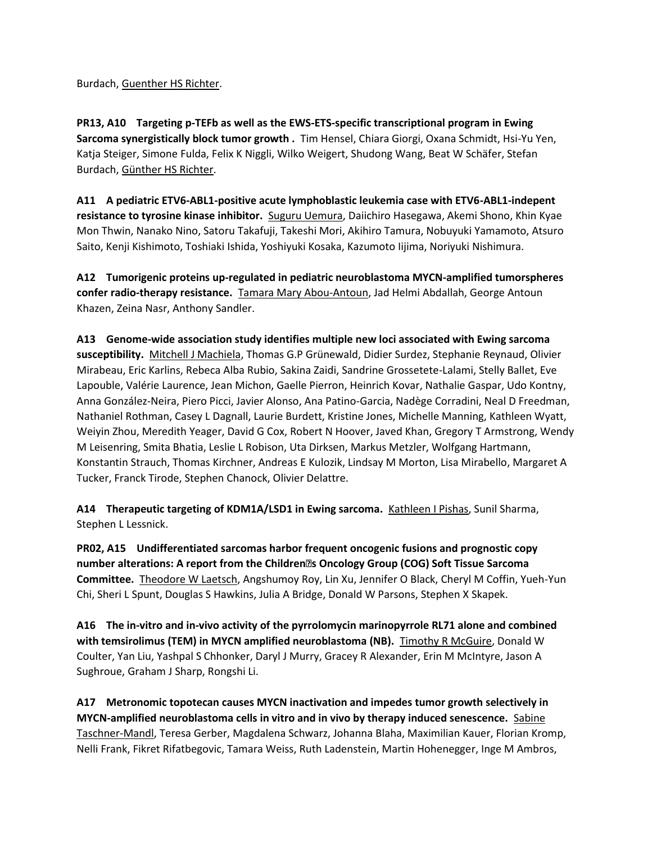Burdach, Guenther HS Richter.

**PR13, A10 Targeting p-TEFb as well as the EWS-ETS-specific transcriptional program in Ewing Sarcoma synergistically block tumor growth .** Tim Hensel, Chiara Giorgi, Oxana Schmidt, Hsi-Yu Yen, Katja Steiger, Simone Fulda, Felix K Niggli, Wilko Weigert, Shudong Wang, Beat W Schäfer, Stefan Burdach, Günther HS Richter.

**A11 A pediatric ETV6-ABL1-positive acute lymphoblastic leukemia case with ETV6-ABL1-indepent resistance to tyrosine kinase inhibitor.** Suguru Uemura, Daiichiro Hasegawa, Akemi Shono, Khin Kyae Mon Thwin, Nanako Nino, Satoru Takafuji, Takeshi Mori, Akihiro Tamura, Nobuyuki Yamamoto, Atsuro Saito, Kenji Kishimoto, Toshiaki Ishida, Yoshiyuki Kosaka, Kazumoto Iijima, Noriyuki Nishimura.

**A12 Tumorigenic proteins up-regulated in pediatric neuroblastoma MYCN-amplified tumorspheres confer radio-therapy resistance.** Tamara Mary Abou-Antoun, Jad Helmi Abdallah, George Antoun Khazen, Zeina Nasr, Anthony Sandler.

**A13 Genome-wide association study identifies multiple new loci associated with Ewing sarcoma susceptibility.** Mitchell J Machiela, Thomas G.P Grünewald, Didier Surdez, Stephanie Reynaud, Olivier Mirabeau, Eric Karlins, Rebeca Alba Rubio, Sakina Zaidi, Sandrine Grossetete-Lalami, Stelly Ballet, Eve Lapouble, Valérie Laurence, Jean Michon, Gaelle Pierron, Heinrich Kovar, Nathalie Gaspar, Udo Kontny, Anna González-Neira, Piero Picci, Javier Alonso, Ana Patino-Garcia, Nadège Corradini, Neal D Freedman, Nathaniel Rothman, Casey L Dagnall, Laurie Burdett, Kristine Jones, Michelle Manning, Kathleen Wyatt, Weiyin Zhou, Meredith Yeager, David G Cox, Robert N Hoover, Javed Khan, Gregory T Armstrong, Wendy M Leisenring, Smita Bhatia, Leslie L Robison, Uta Dirksen, Markus Metzler, Wolfgang Hartmann, Konstantin Strauch, Thomas Kirchner, Andreas E Kulozik, Lindsay M Morton, Lisa Mirabello, Margaret A Tucker, Franck Tirode, Stephen Chanock, Olivier Delattre.

**A14 Therapeutic targeting of KDM1A/LSD1 in Ewing sarcoma.** Kathleen I Pishas, Sunil Sharma, Stephen L Lessnick.

**PR02, A15 Undifferentiated sarcomas harbor frequent oncogenic fusions and prognostic copy number alterations: A report from the Children' s Oncology Group (COG) Soft Tissue Sarcoma Committee.** Theodore W Laetsch, Angshumoy Roy, Lin Xu, Jennifer O Black, Cheryl M Coffin, Yueh-Yun Chi, Sheri L Spunt, Douglas S Hawkins, Julia A Bridge, Donald W Parsons, Stephen X Skapek.

**A16 The in-vitro and in-vivo activity of the pyrrolomycin marinopyrrole RL71 alone and combined with temsirolimus (TEM) in MYCN amplified neuroblastoma (NB).** Timothy R McGuire, Donald W Coulter, Yan Liu, Yashpal S Chhonker, Daryl J Murry, Gracey R Alexander, Erin M McIntyre, Jason A Sughroue, Graham J Sharp, Rongshi Li.

**A17 Metronomic topotecan causes MYCN inactivation and impedes tumor growth selectively in MYCN-amplified neuroblastoma cells in vitro and in vivo by therapy induced senescence.** Sabine Taschner-Mandl, Teresa Gerber, Magdalena Schwarz, Johanna Blaha, Maximilian Kauer, Florian Kromp, Nelli Frank, Fikret Rifatbegovic, Tamara Weiss, Ruth Ladenstein, Martin Hohenegger, Inge M Ambros,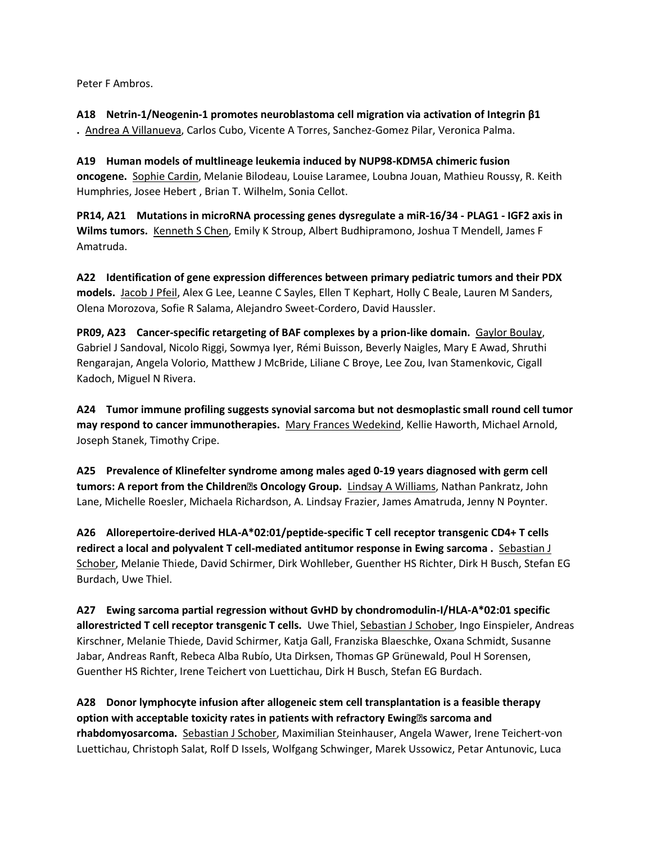Peter F Ambros.

**A18 Netrin-1/Neogenin-1 promotes neuroblastoma cell migration via activation of Integrin β1 .** Andrea A Villanueva, Carlos Cubo, Vicente A Torres, Sanchez-Gomez Pilar, Veronica Palma.

**A19 Human models of multlineage leukemia induced by NUP98-KDM5A chimeric fusion oncogene.** Sophie Cardin, Melanie Bilodeau, Louise Laramee, Loubna Jouan, Mathieu Roussy, R. Keith Humphries, Josee Hebert , Brian T. Wilhelm, Sonia Cellot.

**PR14, A21 Mutations in microRNA processing genes dysregulate a miR-16/34 - PLAG1 - IGF2 axis in Wilms tumors.** Kenneth S Chen, Emily K Stroup, Albert Budhipramono, Joshua T Mendell, James F Amatruda.

**A22 Identification of gene expression differences between primary pediatric tumors and their PDX models.** Jacob J Pfeil, Alex G Lee, Leanne C Sayles, Ellen T Kephart, Holly C Beale, Lauren M Sanders, Olena Morozova, Sofie R Salama, Alejandro Sweet-Cordero, David Haussler.

**PR09, A23 Cancer-specific retargeting of BAF complexes by a prion-like domain.** Gaylor Boulay, Gabriel J Sandoval, Nicolo Riggi, Sowmya Iyer, Rémi Buisson, Beverly Naigles, Mary E Awad, Shruthi Rengarajan, Angela Volorio, Matthew J McBride, Liliane C Broye, Lee Zou, Ivan Stamenkovic, Cigall Kadoch, Miguel N Rivera.

**A24 Tumor immune profiling suggests synovial sarcoma but not desmoplastic small round cell tumor may respond to cancer immunotherapies.** Mary Frances Wedekind, Kellie Haworth, Michael Arnold, Joseph Stanek, Timothy Cripe.

**A25 Prevalence of Klinefelter syndrome among males aged 0-19 years diagnosed with germ cell tumors: A report from the Children' s Oncology Group.** Lindsay A Williams, Nathan Pankratz, John Lane, Michelle Roesler, Michaela Richardson, A. Lindsay Frazier, James Amatruda, Jenny N Poynter.

**A26 Allorepertoire-derived HLA-A\*02:01/peptide-specific T cell receptor transgenic CD4+ T cells redirect a local and polyvalent T cell-mediated antitumor response in Ewing sarcoma .** Sebastian J Schober, Melanie Thiede, David Schirmer, Dirk Wohlleber, Guenther HS Richter, Dirk H Busch, Stefan EG Burdach, Uwe Thiel.

**A27 Ewing sarcoma partial regression without GvHD by chondromodulin-I/HLA-A\*02:01 specific allorestricted T cell receptor transgenic T cells.** Uwe Thiel, Sebastian J Schober, Ingo Einspieler, Andreas Kirschner, Melanie Thiede, David Schirmer, Katja Gall, Franziska Blaeschke, Oxana Schmidt, Susanne Jabar, Andreas Ranft, Rebeca Alba Rubío, Uta Dirksen, Thomas GP Grünewald, Poul H Sorensen, Guenther HS Richter, Irene Teichert von Luettichau, Dirk H Busch, Stefan EG Burdach.

**A28 Donor lymphocyte infusion after allogeneic stem cell transplantation is a feasible therapy option with acceptable toxicity rates in patients with refractory Ewing' s sarcoma and rhabdomyosarcoma.** Sebastian J Schober, Maximilian Steinhauser, Angela Wawer, Irene Teichert-von Luettichau, Christoph Salat, Rolf D Issels, Wolfgang Schwinger, Marek Ussowicz, Petar Antunovic, Luca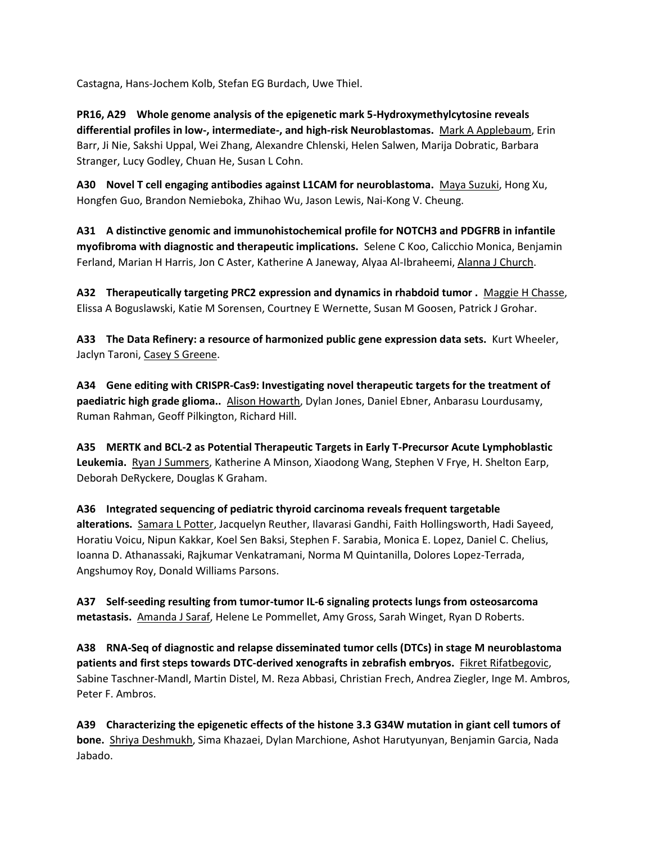Castagna, Hans-Jochem Kolb, Stefan EG Burdach, Uwe Thiel.

**PR16, A29 Whole genome analysis of the epigenetic mark 5-Hydroxymethylcytosine reveals differential profiles in low-, intermediate-, and high-risk Neuroblastomas.** Mark A Applebaum, Erin Barr, Ji Nie, Sakshi Uppal, Wei Zhang, Alexandre Chlenski, Helen Salwen, Marija Dobratic, Barbara Stranger, Lucy Godley, Chuan He, Susan L Cohn.

**A30 Novel T cell engaging antibodies against L1CAM for neuroblastoma.** Maya Suzuki, Hong Xu, Hongfen Guo, Brandon Nemieboka, Zhihao Wu, Jason Lewis, Nai-Kong V. Cheung.

**A31 A distinctive genomic and immunohistochemical profile for NOTCH3 and PDGFRB in infantile myofibroma with diagnostic and therapeutic implications.** Selene C Koo, Calicchio Monica, Benjamin Ferland, Marian H Harris, Jon C Aster, Katherine A Janeway, Alyaa Al-Ibraheemi, Alanna J Church.

**A32 Therapeutically targeting PRC2 expression and dynamics in rhabdoid tumor .** Maggie H Chasse, Elissa A Boguslawski, Katie M Sorensen, Courtney E Wernette, Susan M Goosen, Patrick J Grohar.

**A33 The Data Refinery: a resource of harmonized public gene expression data sets.** Kurt Wheeler, Jaclyn Taroni, Casey S Greene.

**A34 Gene editing with CRISPR-Cas9: Investigating novel therapeutic targets for the treatment of paediatric high grade glioma..** Alison Howarth, Dylan Jones, Daniel Ebner, Anbarasu Lourdusamy, Ruman Rahman, Geoff Pilkington, Richard Hill.

**A35 MERTK and BCL-2 as Potential Therapeutic Targets in Early T-Precursor Acute Lymphoblastic Leukemia.** Ryan J Summers, Katherine A Minson, Xiaodong Wang, Stephen V Frye, H. Shelton Earp, Deborah DeRyckere, Douglas K Graham.

**A36 Integrated sequencing of pediatric thyroid carcinoma reveals frequent targetable alterations.** Samara L Potter, Jacquelyn Reuther, Ilavarasi Gandhi, Faith Hollingsworth, Hadi Sayeed, Horatiu Voicu, Nipun Kakkar, Koel Sen Baksi, Stephen F. Sarabia, Monica E. Lopez, Daniel C. Chelius, Ioanna D. Athanassaki, Rajkumar Venkatramani, Norma M Quintanilla, Dolores Lopez-Terrada, Angshumoy Roy, Donald Williams Parsons.

**A37 Self-seeding resulting from tumor-tumor IL-6 signaling protects lungs from osteosarcoma metastasis.** Amanda J Saraf, Helene Le Pommellet, Amy Gross, Sarah Winget, Ryan D Roberts.

**A38 RNA-Seq of diagnostic and relapse disseminated tumor cells (DTCs) in stage M neuroblastoma patients and first steps towards DTC-derived xenografts in zebrafish embryos.** Fikret Rifatbegovic, Sabine Taschner-Mandl, Martin Distel, M. Reza Abbasi, Christian Frech, Andrea Ziegler, Inge M. Ambros, Peter F. Ambros.

**A39 Characterizing the epigenetic effects of the histone 3.3 G34W mutation in giant cell tumors of bone.** Shriya Deshmukh, Sima Khazaei, Dylan Marchione, Ashot Harutyunyan, Benjamin Garcia, Nada Jabado.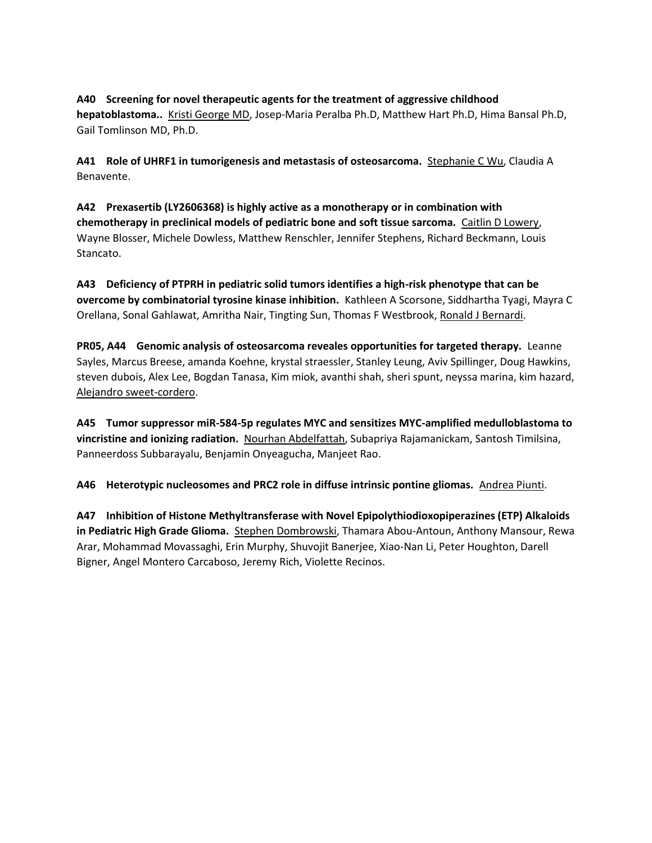## **A40 Screening for novel therapeutic agents for the treatment of aggressive childhood hepatoblastoma..** Kristi George MD, Josep-Maria Peralba Ph.D, Matthew Hart Ph.D, Hima Bansal Ph.D,

Gail Tomlinson MD, Ph.D.

**A41 Role of UHRF1 in tumorigenesis and metastasis of osteosarcoma.** Stephanie C Wu, Claudia A Benavente.

**A42 Prexasertib (LY2606368) is highly active as a monotherapy or in combination with chemotherapy in preclinical models of pediatric bone and soft tissue sarcoma.** Caitlin D Lowery, Wayne Blosser, Michele Dowless, Matthew Renschler, Jennifer Stephens, Richard Beckmann, Louis Stancato.

**A43 Deficiency of PTPRH in pediatric solid tumors identifies a high-risk phenotype that can be overcome by combinatorial tyrosine kinase inhibition.** Kathleen A Scorsone, Siddhartha Tyagi, Mayra C Orellana, Sonal Gahlawat, Amritha Nair, Tingting Sun, Thomas F Westbrook, Ronald J Bernardi.

**PR05, A44 Genomic analysis of osteosarcoma reveales opportunities for targeted therapy.** Leanne Sayles, Marcus Breese, amanda Koehne, krystal straessler, Stanley Leung, Aviv Spillinger, Doug Hawkins, steven dubois, Alex Lee, Bogdan Tanasa, Kim miok, avanthi shah, sheri spunt, neyssa marina, kim hazard, Alejandro sweet-cordero.

**A45 Tumor suppressor miR-584-5p regulates MYC and sensitizes MYC-amplified medulloblastoma to vincristine and ionizing radiation.** Nourhan Abdelfattah, Subapriya Rajamanickam, Santosh Timilsina, Panneerdoss Subbarayalu, Benjamin Onyeagucha, Manjeet Rao.

**A46 Heterotypic nucleosomes and PRC2 role in diffuse intrinsic pontine gliomas.** Andrea Piunti.

**A47 Inhibition of Histone Methyltransferase with Novel Epipolythiodioxopiperazines (ETP) Alkaloids in Pediatric High Grade Glioma.** Stephen Dombrowski, Thamara Abou-Antoun, Anthony Mansour, Rewa Arar, Mohammad Movassaghi, Erin Murphy, Shuvojit Banerjee, Xiao-Nan Li, Peter Houghton, Darell Bigner, Angel Montero Carcaboso, Jeremy Rich, Violette Recinos.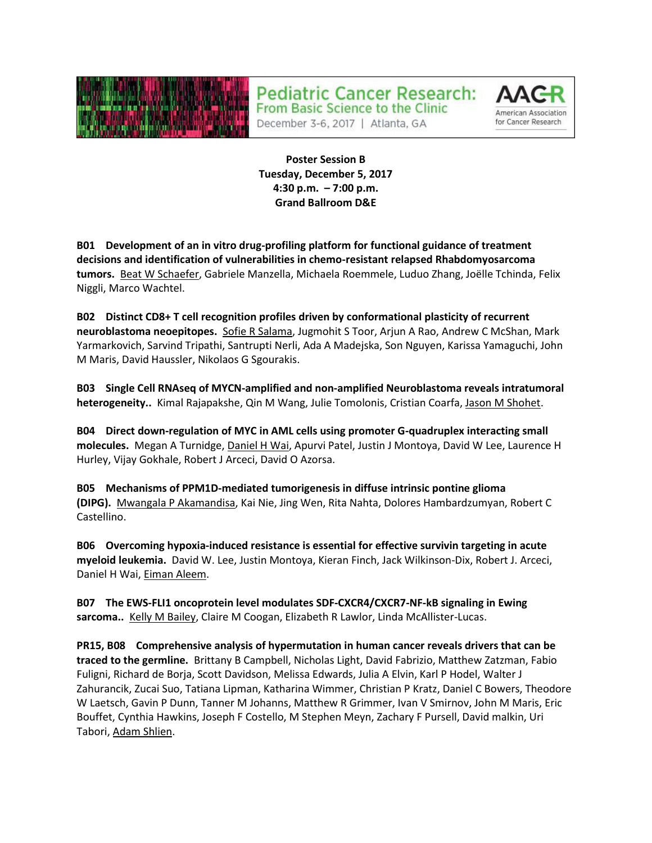

**Pediatric Cancer Research:** 



December 3-6, 2017 | Atlanta, GA

From Basic Science to the Clinic

**Poster Session B Tuesday, December 5, 2017 4:30 p.m. – 7:00 p.m. Grand Ballroom D&E**

**B01 Development of an in vitro drug-profiling platform for functional guidance of treatment decisions and identification of vulnerabilities in chemo-resistant relapsed Rhabdomyosarcoma tumors.** Beat W Schaefer, Gabriele Manzella, Michaela Roemmele, Luduo Zhang, Joëlle Tchinda, Felix Niggli, Marco Wachtel.

**B02 Distinct CD8+ T cell recognition profiles driven by conformational plasticity of recurrent neuroblastoma neoepitopes.** Sofie R Salama, Jugmohit S Toor, Arjun A Rao, Andrew C McShan, Mark Yarmarkovich, Sarvind Tripathi, Santrupti Nerli, Ada A Madejska, Son Nguyen, Karissa Yamaguchi, John M Maris, David Haussler, Nikolaos G Sgourakis.

**B03 Single Cell RNAseq of MYCN-amplified and non-amplified Neuroblastoma reveals intratumoral heterogeneity..** Kimal Rajapakshe, Qin M Wang, Julie Tomolonis, Cristian Coarfa, Jason M Shohet.

**B04 Direct down-regulation of MYC in AML cells using promoter G-quadruplex interacting small molecules.** Megan A Turnidge, Daniel H Wai, Apurvi Patel, Justin J Montoya, David W Lee, Laurence H Hurley, Vijay Gokhale, Robert J Arceci, David O Azorsa.

**B05 Mechanisms of PPM1D-mediated tumorigenesis in diffuse intrinsic pontine glioma (DIPG).** Mwangala P Akamandisa, Kai Nie, Jing Wen, Rita Nahta, Dolores Hambardzumyan, Robert C Castellino.

**B06 Overcoming hypoxia-induced resistance is essential for effective survivin targeting in acute myeloid leukemia.** David W. Lee, Justin Montoya, Kieran Finch, Jack Wilkinson-Dix, Robert J. Arceci, Daniel H Wai, Eiman Aleem.

**B07 The EWS-FLI1 oncoprotein level modulates SDF-CXCR4/CXCR7-NF-kB signaling in Ewing sarcoma..** Kelly M Bailey, Claire M Coogan, Elizabeth R Lawlor, Linda McAllister-Lucas.

**PR15, B08 Comprehensive analysis of hypermutation in human cancer reveals drivers that can be traced to the germline.** Brittany B Campbell, Nicholas Light, David Fabrizio, Matthew Zatzman, Fabio Fuligni, Richard de Borja, Scott Davidson, Melissa Edwards, Julia A Elvin, Karl P Hodel, Walter J Zahurancik, Zucai Suo, Tatiana Lipman, Katharina Wimmer, Christian P Kratz, Daniel C Bowers, Theodore W Laetsch, Gavin P Dunn, Tanner M Johanns, Matthew R Grimmer, Ivan V Smirnov, John M Maris, Eric Bouffet, Cynthia Hawkins, Joseph F Costello, M Stephen Meyn, Zachary F Pursell, David malkin, Uri Tabori, Adam Shlien.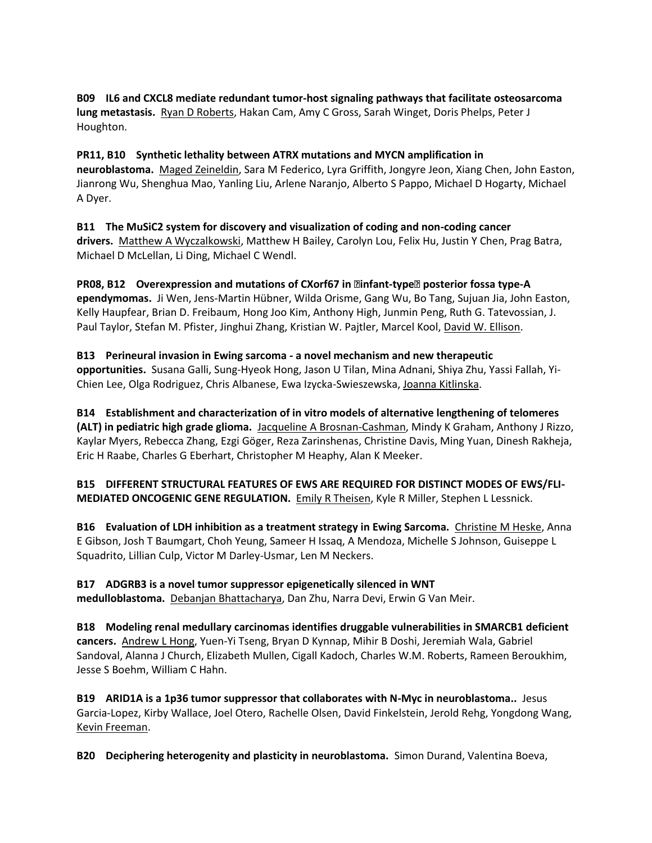## **B09 IL6 and CXCL8 mediate redundant tumor-host signaling pathways that facilitate osteosarcoma lung metastasis.** Ryan D Roberts, Hakan Cam, Amy C Gross, Sarah Winget, Doris Phelps, Peter J Houghton.

**PR11, B10 Synthetic lethality between ATRX mutations and MYCN amplification in neuroblastoma.** Maged Zeineldin, Sara M Federico, Lyra Griffith, Jongyre Jeon, Xiang Chen, John Easton, Jianrong Wu, Shenghua Mao, Yanling Liu, Arlene Naranjo, Alberto S Pappo, Michael D Hogarty, Michael A Dyer.

**B11 The MuSiC2 system for discovery and visualization of coding and non-coding cancer drivers.** Matthew A Wyczalkowski, Matthew H Bailey, Carolyn Lou, Felix Hu, Justin Y Chen, Prag Batra, Michael D McLellan, Li Ding, Michael C Wendl.

**PR08, B12 Overexpression and mutations of CXorf67 in ' infant-type' posterior fossa type-A ependymomas.** Ji Wen, Jens-Martin Hübner, Wilda Orisme, Gang Wu, Bo Tang, Sujuan Jia, John Easton, Kelly Haupfear, Brian D. Freibaum, Hong Joo Kim, Anthony High, Junmin Peng, Ruth G. Tatevossian, J. Paul Taylor, Stefan M. Pfister, Jinghui Zhang, Kristian W. Pajtler, Marcel Kool, David W. Ellison.

## **B13 Perineural invasion in Ewing sarcoma - a novel mechanism and new therapeutic**

**opportunities.** Susana Galli, Sung-Hyeok Hong, Jason U Tilan, Mina Adnani, Shiya Zhu, Yassi Fallah, Yi-Chien Lee, Olga Rodriguez, Chris Albanese, Ewa Izycka-Swieszewska, Joanna Kitlinska.

**B14 Establishment and characterization of in vitro models of alternative lengthening of telomeres (ALT) in pediatric high grade glioma.** Jacqueline A Brosnan-Cashman, Mindy K Graham, Anthony J Rizzo, Kaylar Myers, Rebecca Zhang, Ezgi Göger, Reza Zarinshenas, Christine Davis, Ming Yuan, Dinesh Rakheja, Eric H Raabe, Charles G Eberhart, Christopher M Heaphy, Alan K Meeker.

**B15 DIFFERENT STRUCTURAL FEATURES OF EWS ARE REQUIRED FOR DISTINCT MODES OF EWS/FLI-MEDIATED ONCOGENIC GENE REGULATION.** Emily R Theisen, Kyle R Miller, Stephen L Lessnick.

**B16 Evaluation of LDH inhibition as a treatment strategy in Ewing Sarcoma.** Christine M Heske, Anna E Gibson, Josh T Baumgart, Choh Yeung, Sameer H Issaq, A Mendoza, Michelle S Johnson, Guiseppe L Squadrito, Lillian Culp, Victor M Darley-Usmar, Len M Neckers.

**B17 ADGRB3 is a novel tumor suppressor epigenetically silenced in WNT medulloblastoma.** Debanjan Bhattacharya, Dan Zhu, Narra Devi, Erwin G Van Meir.

**B18 Modeling renal medullary carcinomas identifies druggable vulnerabilities in SMARCB1 deficient cancers.** Andrew L Hong, Yuen-Yi Tseng, Bryan D Kynnap, Mihir B Doshi, Jeremiah Wala, Gabriel Sandoval, Alanna J Church, Elizabeth Mullen, Cigall Kadoch, Charles W.M. Roberts, Rameen Beroukhim, Jesse S Boehm, William C Hahn.

**B19 ARID1A is a 1p36 tumor suppressor that collaborates with N-Myc in neuroblastoma..** Jesus Garcia-Lopez, Kirby Wallace, Joel Otero, Rachelle Olsen, David Finkelstein, Jerold Rehg, Yongdong Wang, Kevin Freeman.

**B20 Deciphering heterogenity and plasticity in neuroblastoma.** Simon Durand, Valentina Boeva,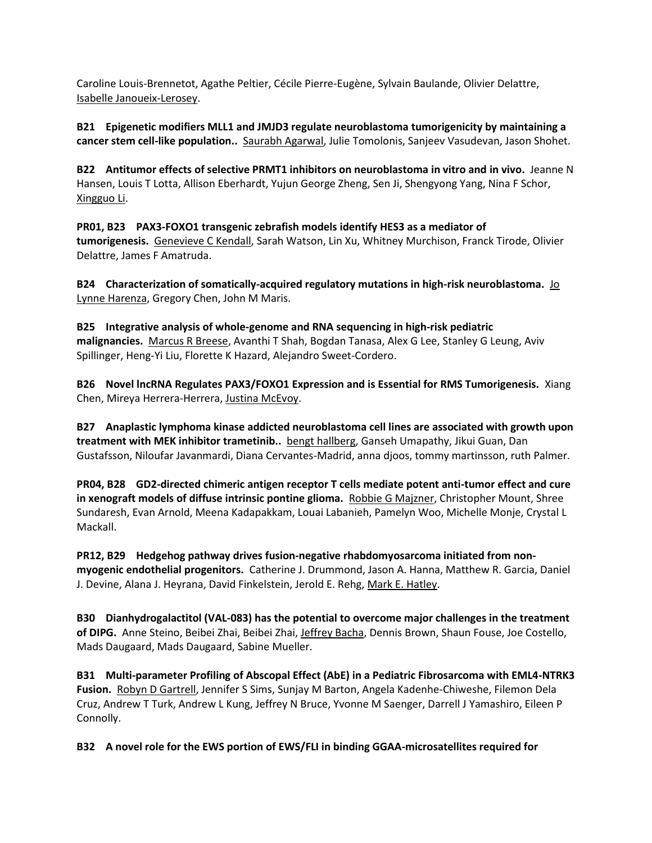Caroline Louis-Brennetot, Agathe Peltier, Cécile Pierre-Eugène, Sylvain Baulande, Olivier Delattre, Isabelle Janoueix-Lerosey.

**B21 Epigenetic modifiers MLL1 and JMJD3 regulate neuroblastoma tumorigenicity by maintaining a cancer stem cell-like population..** Saurabh Agarwal, Julie Tomolonis, Sanjeev Vasudevan, Jason Shohet.

**B22 Antitumor effects of selective PRMT1 inhibitors on neuroblastoma in vitro and in vivo.** Jeanne N Hansen, Louis T Lotta, Allison Eberhardt, Yujun George Zheng, Sen Ji, Shengyong Yang, Nina F Schor, Xingguo Li.

**PR01, B23 PAX3-FOXO1 transgenic zebrafish models identify HES3 as a mediator of tumorigenesis.** Genevieve C Kendall, Sarah Watson, Lin Xu, Whitney Murchison, Franck Tirode, Olivier Delattre, James F Amatruda.

**B24** Characterization of somatically-acquired regulatory mutations in high-risk neuroblastoma. Jo Lynne Harenza, Gregory Chen, John M Maris.

**B25 Integrative analysis of whole-genome and RNA sequencing in high-risk pediatric malignancies.** Marcus R Breese, Avanthi T Shah, Bogdan Tanasa, Alex G Lee, Stanley G Leung, Aviv Spillinger, Heng-Yi Liu, Florette K Hazard, Alejandro Sweet-Cordero.

**B26 Novel lncRNA Regulates PAX3/FOXO1 Expression and is Essential for RMS Tumorigenesis.** Xiang Chen, Mireya Herrera-Herrera, Justina McEvoy.

**B27 Anaplastic lymphoma kinase addicted neuroblastoma cell lines are associated with growth upon treatment with MEK inhibitor trametinib..** bengt hallberg, Ganseh Umapathy, Jikui Guan, Dan Gustafsson, Niloufar Javanmardi, Diana Cervantes-Madrid, anna djoos, tommy martinsson, ruth Palmer.

**PR04, B28 GD2-directed chimeric antigen receptor T cells mediate potent anti-tumor effect and cure in xenograft models of diffuse intrinsic pontine glioma.** Robbie G Majzner, Christopher Mount, Shree Sundaresh, Evan Arnold, Meena Kadapakkam, Louai Labanieh, Pamelyn Woo, Michelle Monje, Crystal L Mackall.

**PR12, B29 Hedgehog pathway drives fusion-negative rhabdomyosarcoma initiated from nonmyogenic endothelial progenitors.** Catherine J. Drummond, Jason A. Hanna, Matthew R. Garcia, Daniel J. Devine, Alana J. Heyrana, David Finkelstein, Jerold E. Rehg, Mark E. Hatley.

**B30 Dianhydrogalactitol (VAL-083) has the potential to overcome major challenges in the treatment of DIPG.** Anne Steino, Beibei Zhai, Beibei Zhai, Jeffrey Bacha, Dennis Brown, Shaun Fouse, Joe Costello, Mads Daugaard, Mads Daugaard, Sabine Mueller.

**B31 Multi-parameter Profiling of Abscopal Effect (AbE) in a Pediatric Fibrosarcoma with EML4-NTRK3 Fusion.** Robyn D Gartrell, Jennifer S Sims, Sunjay M Barton, Angela Kadenhe-Chiweshe, Filemon Dela Cruz, Andrew T Turk, Andrew L Kung, Jeffrey N Bruce, Yvonne M Saenger, Darrell J Yamashiro, Eileen P Connolly.

**B32 A novel role for the EWS portion of EWS/FLI in binding GGAA-microsatellites required for**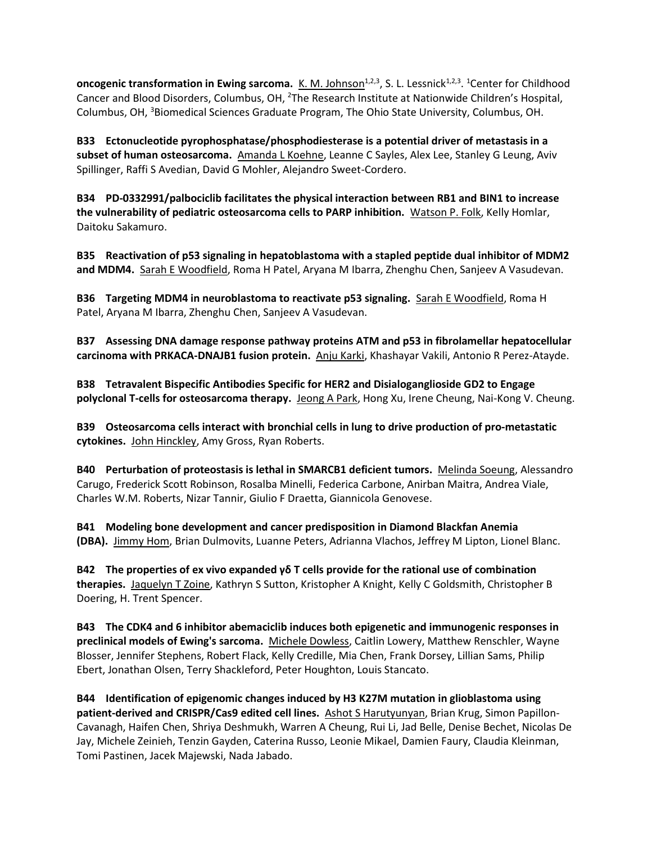**oncogenic transformation in Ewing sarcoma.** K. M. Johnson<sup>1,2,3</sup>, S. L. Lessnick<sup>1,2,3</sup>. <sup>1</sup>Center for Childhood Cancer and Blood Disorders, Columbus, OH, <sup>2</sup>The Research Institute at Nationwide Children's Hospital, Columbus, OH, <sup>3</sup>Biomedical Sciences Graduate Program, The Ohio State University, Columbus, OH.

**B33 Ectonucleotide pyrophosphatase/phosphodiesterase is a potential driver of metastasis in a subset of human osteosarcoma.** Amanda L Koehne, Leanne C Sayles, Alex Lee, Stanley G Leung, Aviv Spillinger, Raffi S Avedian, David G Mohler, Alejandro Sweet-Cordero.

**B34 PD-0332991/palbociclib facilitates the physical interaction between RB1 and BIN1 to increase the vulnerability of pediatric osteosarcoma cells to PARP inhibition.** Watson P. Folk, Kelly Homlar, Daitoku Sakamuro.

**B35 Reactivation of p53 signaling in hepatoblastoma with a stapled peptide dual inhibitor of MDM2 and MDM4.** Sarah E Woodfield, Roma H Patel, Aryana M Ibarra, Zhenghu Chen, Sanjeev A Vasudevan.

**B36 Targeting MDM4 in neuroblastoma to reactivate p53 signaling.** Sarah E Woodfield, Roma H Patel, Aryana M Ibarra, Zhenghu Chen, Sanjeev A Vasudevan.

**B37 Assessing DNA damage response pathway proteins ATM and p53 in fibrolamellar hepatocellular carcinoma with PRKACA-DNAJB1 fusion protein.** Anju Karki, Khashayar Vakili, Antonio R Perez-Atayde.

**B38 Tetravalent Bispecific Antibodies Specific for HER2 and Disialoganglioside GD2 to Engage polyclonal T-cells for osteosarcoma therapy.** Jeong A Park, Hong Xu, Irene Cheung, Nai-Kong V. Cheung.

**B39 Osteosarcoma cells interact with bronchial cells in lung to drive production of pro-metastatic cytokines.** John Hinckley, Amy Gross, Ryan Roberts.

**B40 Perturbation of proteostasis is lethal in SMARCB1 deficient tumors.** Melinda Soeung, Alessandro Carugo, Frederick Scott Robinson, Rosalba Minelli, Federica Carbone, Anirban Maitra, Andrea Viale, Charles W.M. Roberts, Nizar Tannir, Giulio F Draetta, Giannicola Genovese.

**B41 Modeling bone development and cancer predisposition in Diamond Blackfan Anemia (DBA).** Jimmy Hom, Brian Dulmovits, Luanne Peters, Adrianna Vlachos, Jeffrey M Lipton, Lionel Blanc.

**B42 The properties of ex vivo expanded γδ T cells provide for the rational use of combination therapies.** Jaquelyn T Zoine, Kathryn S Sutton, Kristopher A Knight, Kelly C Goldsmith, Christopher B Doering, H. Trent Spencer.

**B43 The CDK4 and 6 inhibitor abemaciclib induces both epigenetic and immunogenic responses in preclinical models of Ewing's sarcoma.** Michele Dowless, Caitlin Lowery, Matthew Renschler, Wayne Blosser, Jennifer Stephens, Robert Flack, Kelly Credille, Mia Chen, Frank Dorsey, Lillian Sams, Philip Ebert, Jonathan Olsen, Terry Shackleford, Peter Houghton, Louis Stancato.

**B44 Identification of epigenomic changes induced by H3 K27M mutation in glioblastoma using patient-derived and CRISPR/Cas9 edited cell lines.** Ashot S Harutyunyan, Brian Krug, Simon Papillon-Cavanagh, Haifen Chen, Shriya Deshmukh, Warren A Cheung, Rui Li, Jad Belle, Denise Bechet, Nicolas De Jay, Michele Zeinieh, Tenzin Gayden, Caterina Russo, Leonie Mikael, Damien Faury, Claudia Kleinman, Tomi Pastinen, Jacek Majewski, Nada Jabado.